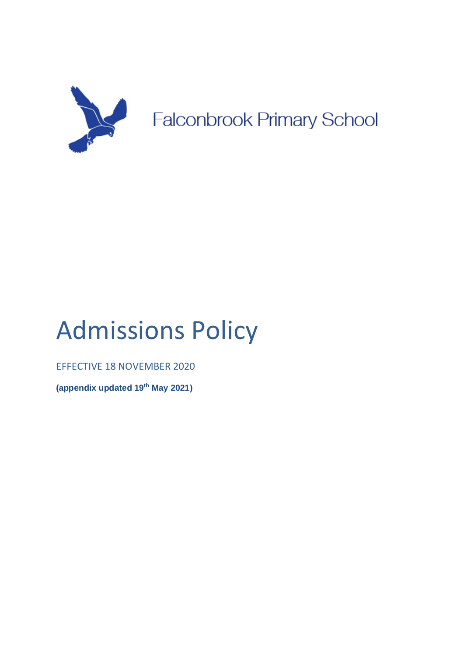

# Admissions Policy

EFFECTIVE 18 NOVEMBER 2020

**(appendix updated 19th May 2021)**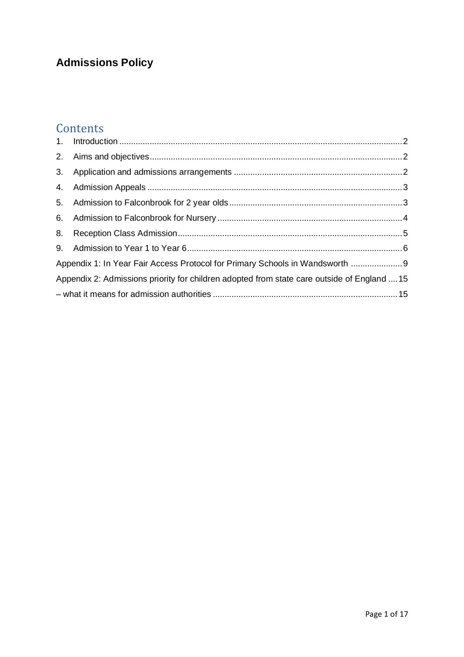# **Admissions Policy**

# **Contents**

| Appendix 1: In Year Fair Access Protocol for Primary Schools in Wandsworth  9               |  |  |
|---------------------------------------------------------------------------------------------|--|--|
| Appendix 2: Admissions priority for children adopted from state care outside of England  15 |  |  |
|                                                                                             |  |  |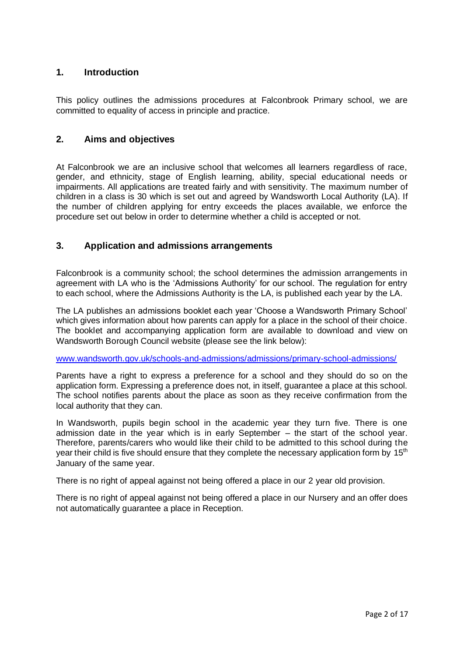# <span id="page-2-0"></span>**1. Introduction**

This policy outlines the admissions procedures at Falconbrook Primary school, we are committed to equality of access in principle and practice.

# <span id="page-2-1"></span>**2. Aims and objectives**

At Falconbrook we are an inclusive school that welcomes all learners regardless of race, gender, and ethnicity, stage of English learning, ability, special educational needs or impairments. All applications are treated fairly and with sensitivity. The maximum number of children in a class is 30 which is set out and agreed by Wandsworth Local Authority (LA). If the number of children applying for entry exceeds the places available, we enforce the procedure set out below in order to determine whether a child is accepted or not.

# <span id="page-2-2"></span>**3. Application and admissions arrangements**

Falconbrook is a community school; the school determines the admission arrangements in agreement with LA who is the 'Admissions Authority' for our school. The regulation for entry to each school, where the Admissions Authority is the LA, is published each year by the LA.

The LA publishes an admissions booklet each year 'Choose a Wandsworth Primary School' which gives information about how parents can apply for a place in the school of their choice. The booklet and accompanying application form are available to download and view on Wandsworth Borough Council website (please see the link below):

[www.wandsworth.gov.uk/schools-and-admissions/admissions/primary-school-admissions/](http://www.wandsworth.gov.uk/schools-and-admissions/admissions/primary-school-admissions/)

Parents have a right to express a preference for a school and they should do so on the application form. Expressing a preference does not, in itself, guarantee a place at this school. The school notifies parents about the place as soon as they receive confirmation from the local authority that they can.

In Wandsworth, pupils begin school in the academic year they turn five. There is one admission date in the year which is in early September – the start of the school year. Therefore, parents/carers who would like their child to be admitted to this school during the year their child is five should ensure that they complete the necessary application form by 15<sup>th</sup> January of the same year.

There is no right of appeal against not being offered a place in our 2 year old provision.

There is no right of appeal against not being offered a place in our Nursery and an offer does not automatically guarantee a place in Reception.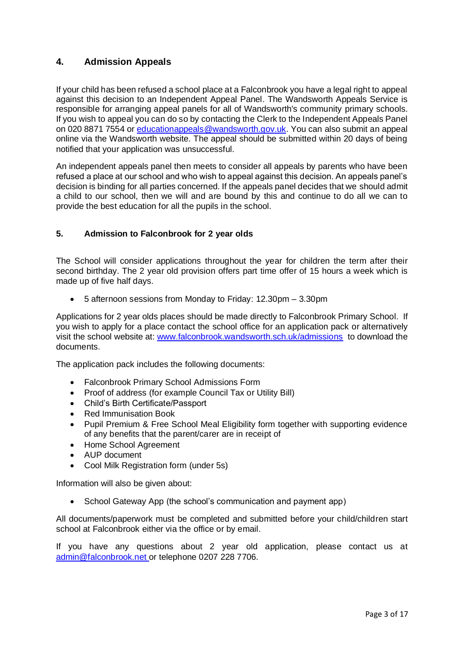# <span id="page-3-0"></span>**4. Admission Appeals**

If your child has been refused a school place at a Falconbrook you have a legal right to appeal against this decision to an Independent Appeal Panel. The Wandsworth Appeals Service is responsible for arranging appeal panels for all of Wandsworth's community primary schools. If you wish to appeal you can do so by contacting the Clerk to the Independent Appeals Panel on 020 8871 7554 or [educationappeals@wandsworth.gov.uk.](mailto:educationappeals@wandsworth.gov.uk) You can also submit an appeal online via the Wandsworth website. The appeal should be submitted within 20 days of being notified that your application was unsuccessful.

An independent appeals panel then meets to consider all appeals by parents who have been refused a place at our school and who wish to appeal against this decision. An appeals panel's decision is binding for all parties concerned. If the appeals panel decides that we should admit a child to our school, then we will and are bound by this and continue to do all we can to provide the best education for all the pupils in the school.

# <span id="page-3-1"></span>**5. Admission to Falconbrook for 2 year olds**

The School will consider applications throughout the year for children the term after their second birthday. The 2 year old provision offers part time offer of 15 hours a week which is made up of five half days.

• 5 afternoon sessions from Monday to Friday: 12.30pm – 3.30pm

Applications for 2 year olds places should be made directly to Falconbrook Primary School. If you wish to apply for a place contact the school office for an application pack or alternatively visit the school website at: [www.falconbrook.wandsworth.sch.uk/admissions](http://www.falconbrook.wandsworth.sch.uk/admissions) to download the documents.

The application pack includes the following documents:

- Falconbrook Primary School Admissions Form
- Proof of address (for example Council Tax or Utility Bill)
- Child's Birth Certificate/Passport
- Red Immunisation Book
- Pupil Premium & Free School Meal Eligibility form together with supporting evidence of any benefits that the parent/carer are in receipt of
- Home School Agreement
- AUP document
- Cool Milk Registration form (under 5s)

Information will also be given about:

• School Gateway App (the school's communication and payment app)

All documents/paperwork must be completed and submitted before your child/children start school at Falconbrook either via the office or by email.

If you have any questions about 2 year old application, please contact us at [admin@falconbrook.net](mailto:admin@falconbrook.net) or telephone 0207 228 7706.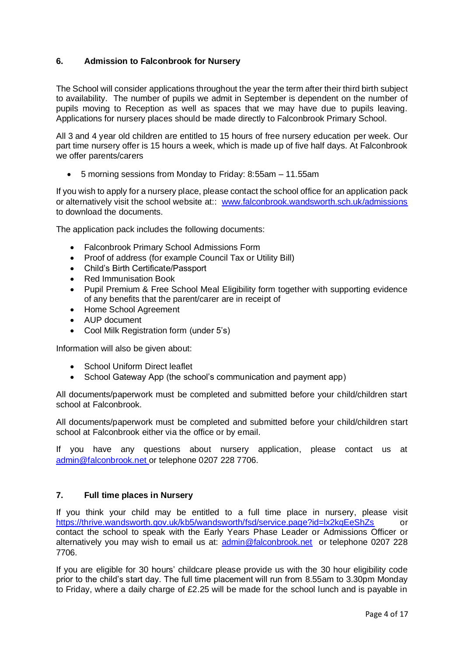# <span id="page-4-0"></span>**6. Admission to Falconbrook for Nursery**

The School will consider applications throughout the year the term after their third birth subject to availability. The number of pupils we admit in September is dependent on the number of pupils moving to Reception as well as spaces that we may have due to pupils leaving. Applications for nursery places should be made directly to Falconbrook Primary School.

All 3 and 4 year old children are entitled to 15 hours of free nursery education per week. Our part time nursery offer is 15 hours a week, which is made up of five half days. At Falconbrook we offer parents/carers

• 5 morning sessions from Monday to Friday: 8:55am – 11.55am

If you wish to apply for a nursery place, please contact the school office for an application pack or alternatively visit the school website at:: [www.falconbrook.wandsworth.sch.uk/admissions](http://www.falconbrook.wandsworth.sch.uk/admissions)  to download the documents.

The application pack includes the following documents:

- Falconbrook Primary School Admissions Form
- Proof of address (for example Council Tax or Utility Bill)
- Child's Birth Certificate/Passport
- Red Immunisation Book
- Pupil Premium & Free School Meal Eligibility form together with supporting evidence of any benefits that the parent/carer are in receipt of
- Home School Agreement
- AUP document
- Cool Milk Registration form (under 5's)

Information will also be given about:

- School Uniform Direct leaflet
- School Gateway App (the school's communication and payment app)

All documents/paperwork must be completed and submitted before your child/children start school at Falconbrook.

All documents/paperwork must be completed and submitted before your child/children start school at Falconbrook either via the office or by email.

If you have any questions about nursery application, please contact us at [admin@falconbrook.net](mailto:admin@falconbrook.net) or telephone 0207 228 7706.

#### **7. Full time places in Nursery**

If you think your child may be entitled to a full time place in nursery, please visit <https://thrive.wandsworth.gov.uk/kb5/wandsworth/fsd/service.page?id=lx2kqEeShZs> or contact the school to speak with the Early Years Phase Leader or Admissions Officer or alternatively you may wish to email us at: [admin@falconbrook.net](mailto:admin@falconbrook.net) or telephone 0207 228 7706.

If you are eligible for 30 hours' childcare please provide us with the 30 hour eligibility code prior to the child's start day. The full time placement will run from 8.55am to 3.30pm Monday to Friday, where a daily charge of £2.25 will be made for the school lunch and is payable in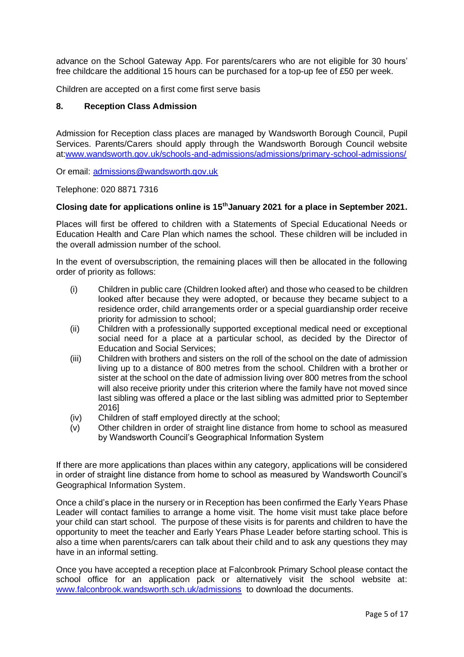advance on the School Gateway App. For parents/carers who are not eligible for 30 hours' free childcare the additional 15 hours can be purchased for a top-up fee of £50 per week.

Children are accepted on a first come first serve basis

#### <span id="page-5-0"></span>**8. Reception Class Admission**

Admission for Reception class places are managed by Wandsworth Borough Council, Pupil Services. Parents/Carers should apply through the Wandsworth Borough Council website at[:www.wandsworth.gov.uk/schools-and-admissions/admissions/primary-school-admissions/](http://www.wandsworth.gov.uk/schools-and-admissions/admissions/primary-school-admissions/)

Or email: [admissions@wandsworth.gov.uk](mailto:admissions@wandsworth.gov.uk)

Telephone: 020 8871 7316

#### **Closing date for applications online is 15thJanuary 2021 for a place in September 2021.**

Places will first be offered to children with a Statements of Special Educational Needs or Education Health and Care Plan which names the school. These children will be included in the overall admission number of the school.

In the event of oversubscription, the remaining places will then be allocated in the following order of priority as follows:

- (i) Children in public care (Children looked after) and those who ceased to be children looked after because they were adopted, or because they became subject to a residence order, child arrangements order or a special guardianship order receive priority for admission to school;
- (ii) Children with a professionally supported exceptional medical need or exceptional social need for a place at a particular school, as decided by the Director of Education and Social Services;
- (iii) Children with brothers and sisters on the roll of the school on the date of admission living up to a distance of 800 metres from the school. Children with a brother or sister at the school on the date of admission living over 800 metres from the school will also receive priority under this criterion where the family have not moved since last sibling was offered a place or the last sibling was admitted prior to September 2016]
- (iv) Children of staff employed directly at the school;
- (v) Other children in order of straight line distance from home to school as measured by Wandsworth Council's Geographical Information System

If there are more applications than places within any category, applications will be considered in order of straight line distance from home to school as measured by Wandsworth Council's Geographical Information System.

Once a child's place in the nursery or in Reception has been confirmed the Early Years Phase Leader will contact families to arrange a home visit. The home visit must take place before your child can start school. The purpose of these visits is for parents and children to have the opportunity to meet the teacher and Early Years Phase Leader before starting school. This is also a time when parents/carers can talk about their child and to ask any questions they may have in an informal setting.

Once you have accepted a reception place at Falconbrook Primary School please contact the school office for an application pack or alternatively visit the school website at: [www.falconbrook.wandsworth.sch.uk/admissions](http://www.falconbrook.wandsworth.sch.uk/admissions) to download the documents.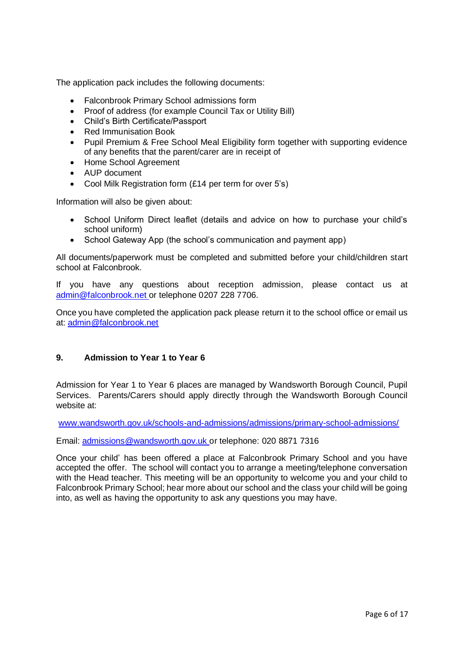The application pack includes the following documents:

- Falconbrook Primary School admissions form
- Proof of address (for example Council Tax or Utility Bill)
- Child's Birth Certificate/Passport
- Red Immunisation Book
- Pupil Premium & Free School Meal Eligibility form together with supporting evidence of any benefits that the parent/carer are in receipt of
- Home School Agreement
- AUP document
- Cool Milk Registration form (£14 per term for over 5's)

Information will also be given about:

- School Uniform Direct leaflet (details and advice on how to purchase your child's school uniform)
- School Gateway App (the school's communication and payment app)

All documents/paperwork must be completed and submitted before your child/children start school at Falconbrook.

If you have any questions about reception admission, please contact us at [admin@falconbrook.net](mailto:admin@falconbrook.net) or telephone 0207 228 7706.

Once you have completed the application pack please return it to the school office or email us at: [admin@falconbrook.n](mailto:admin@falconbrook.)et

#### <span id="page-6-0"></span>**9. Admission to Year 1 to Year 6**

Admission for Year 1 to Year 6 places are managed by Wandsworth Borough Council, Pupil Services. Parents/Carers should apply directly through the Wandsworth Borough Council website at:

[www.wandsworth.gov.uk/schools-and-admissions/admissions/primary-school-admissions/](http://www.wandsworth.gov.uk/schools-and-admissions/admissions/primary-school-admissions/)

Email: [admissions@wandsworth.gov.uk](mailto:admissions@wandsworth.gov.uk) or telephone: 020 8871 7316

Once your child' has been offered a place at Falconbrook Primary School and you have accepted the offer. The school will contact you to arrange a meeting/telephone conversation with the Head teacher. This meeting will be an opportunity to welcome you and your child to Falconbrook Primary School; hear more about our school and the class your child will be going into, as well as having the opportunity to ask any questions you may have.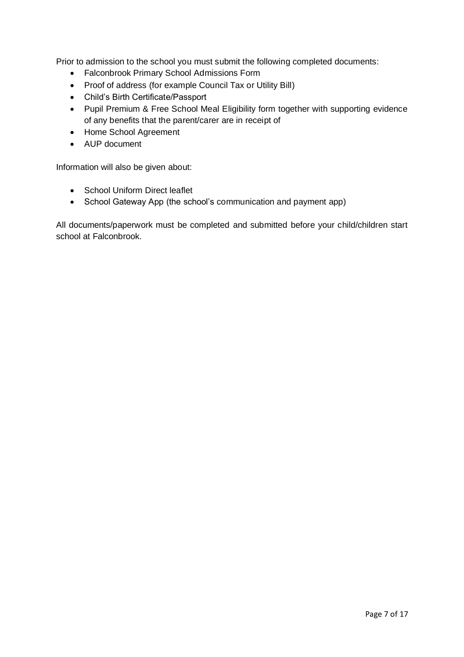Prior to admission to the school you must submit the following completed documents:

- Falconbrook Primary School Admissions Form
- Proof of address (for example Council Tax or Utility Bill)
- Child's Birth Certificate/Passport
- Pupil Premium & Free School Meal Eligibility form together with supporting evidence of any benefits that the parent/carer are in receipt of
- Home School Agreement
- AUP document

Information will also be given about:

- School Uniform Direct leaflet
- School Gateway App (the school's communication and payment app)

All documents/paperwork must be completed and submitted before your child/children start school at Falconbrook.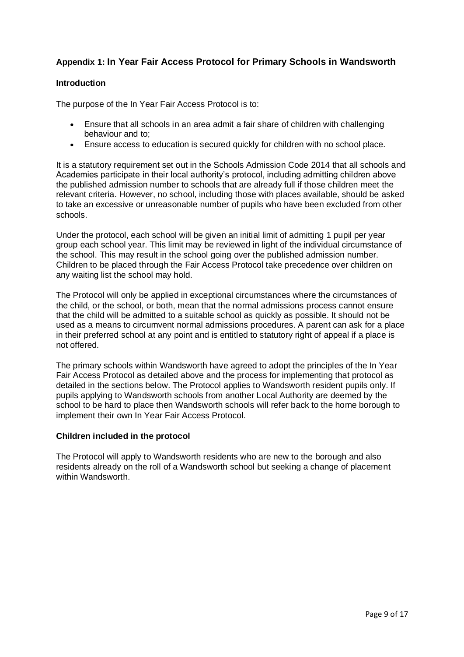# <span id="page-9-0"></span>**Appendix 1: In Year Fair Access Protocol for Primary Schools in Wandsworth**

#### **Introduction**

The purpose of the In Year Fair Access Protocol is to:

- Ensure that all schools in an area admit a fair share of children with challenging behaviour and to;
- Ensure access to education is secured quickly for children with no school place.

It is a statutory requirement set out in the Schools Admission Code 2014 that all schools and Academies participate in their local authority's protocol, including admitting children above the published admission number to schools that are already full if those children meet the relevant criteria. However, no school, including those with places available, should be asked to take an excessive or unreasonable number of pupils who have been excluded from other schools.

Under the protocol, each school will be given an initial limit of admitting 1 pupil per year group each school year. This limit may be reviewed in light of the individual circumstance of the school. This may result in the school going over the published admission number. Children to be placed through the Fair Access Protocol take precedence over children on any waiting list the school may hold.

The Protocol will only be applied in exceptional circumstances where the circumstances of the child, or the school, or both, mean that the normal admissions process cannot ensure that the child will be admitted to a suitable school as quickly as possible. It should not be used as a means to circumvent normal admissions procedures. A parent can ask for a place in their preferred school at any point and is entitled to statutory right of appeal if a place is not offered.

The primary schools within Wandsworth have agreed to adopt the principles of the In Year Fair Access Protocol as detailed above and the process for implementing that protocol as detailed in the sections below. The Protocol applies to Wandsworth resident pupils only. If pupils applying to Wandsworth schools from another Local Authority are deemed by the school to be hard to place then Wandsworth schools will refer back to the home borough to implement their own In Year Fair Access Protocol.

#### **Children included in the protocol**

The Protocol will apply to Wandsworth residents who are new to the borough and also residents already on the roll of a Wandsworth school but seeking a change of placement within Wandsworth.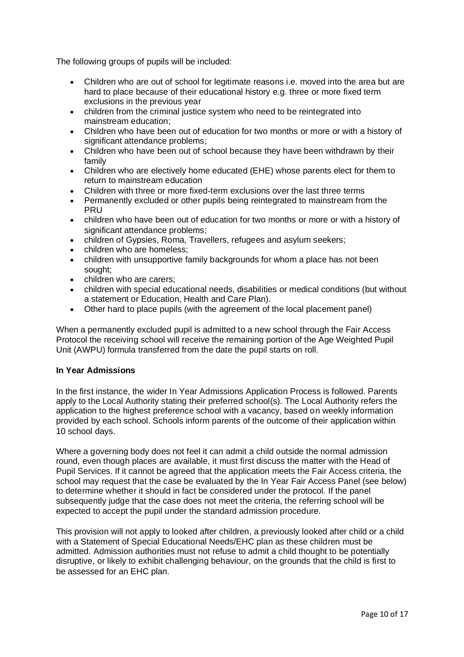The following groups of pupils will be included:

- Children who are out of school for legitimate reasons i.e. moved into the area but are hard to place because of their educational history e.g. three or more fixed term exclusions in the previous year
- children from the criminal justice system who need to be reintegrated into mainstream education;
- Children who have been out of education for two months or more or with a history of significant attendance problems;
- Children who have been out of school because they have been withdrawn by their family
- Children who are electively home educated (EHE) whose parents elect for them to return to mainstream education
- Children with three or more fixed-term exclusions over the last three terms
- Permanently excluded or other pupils being reintegrated to mainstream from the PRU
- children who have been out of education for two months or more or with a history of significant attendance problems;
- children of Gypsies, Roma, Travellers, refugees and asylum seekers;
- children who are homeless:
- children with unsupportive family backgrounds for whom a place has not been sought;
- children who are carers:
- children with special educational needs, disabilities or medical conditions (but without a statement or Education, Health and Care Plan).
- Other hard to place pupils (with the agreement of the local placement panel)

When a permanently excluded pupil is admitted to a new school through the Fair Access Protocol the receiving school will receive the remaining portion of the Age Weighted Pupil Unit (AWPU) formula transferred from the date the pupil starts on roll.

#### **In Year Admissions**

In the first instance, the wider In Year Admissions Application Process is followed. Parents apply to the Local Authority stating their preferred school(s). The Local Authority refers the application to the highest preference school with a vacancy, based on weekly information provided by each school. Schools inform parents of the outcome of their application within 10 school days.

Where a governing body does not feel it can admit a child outside the normal admission round, even though places are available, it must first discuss the matter with the Head of Pupil Services. If it cannot be agreed that the application meets the Fair Access criteria, the school may request that the case be evaluated by the In Year Fair Access Panel (see below) to determine whether it should in fact be considered under the protocol. If the panel subsequently judge that the case does not meet the criteria, the referring school will be expected to accept the pupil under the standard admission procedure.

This provision will not apply to looked after children, a previously looked after child or a child with a Statement of Special Educational Needs/EHC plan as these children must be admitted. Admission authorities must not refuse to admit a child thought to be potentially disruptive, or likely to exhibit challenging behaviour, on the grounds that the child is first to be assessed for an EHC plan.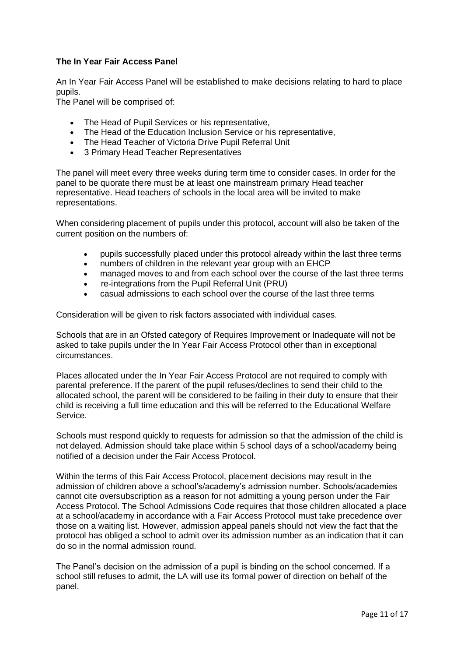#### **The In Year Fair Access Panel**

An In Year Fair Access Panel will be established to make decisions relating to hard to place pupils.

The Panel will be comprised of:

- The Head of Pupil Services or his representative,
- The Head of the Education Inclusion Service or his representative,
- The Head Teacher of Victoria Drive Pupil Referral Unit
- 3 Primary Head Teacher Representatives

The panel will meet every three weeks during term time to consider cases. In order for the panel to be quorate there must be at least one mainstream primary Head teacher representative. Head teachers of schools in the local area will be invited to make representations.

When considering placement of pupils under this protocol, account will also be taken of the current position on the numbers of:

- pupils successfully placed under this protocol already within the last three terms
- numbers of children in the relevant year group with an EHCP
- managed moves to and from each school over the course of the last three terms
- re-integrations from the Pupil Referral Unit (PRU)
- casual admissions to each school over the course of the last three terms

Consideration will be given to risk factors associated with individual cases.

Schools that are in an Ofsted category of Requires Improvement or Inadequate will not be asked to take pupils under the In Year Fair Access Protocol other than in exceptional circumstances.

Places allocated under the In Year Fair Access Protocol are not required to comply with parental preference. If the parent of the pupil refuses/declines to send their child to the allocated school, the parent will be considered to be failing in their duty to ensure that their child is receiving a full time education and this will be referred to the Educational Welfare Service.

Schools must respond quickly to requests for admission so that the admission of the child is not delayed. Admission should take place within 5 school days of a school/academy being notified of a decision under the Fair Access Protocol.

Within the terms of this Fair Access Protocol, placement decisions may result in the admission of children above a school's/academy's admission number. Schools/academies cannot cite oversubscription as a reason for not admitting a young person under the Fair Access Protocol. The School Admissions Code requires that those children allocated a place at a school/academy in accordance with a Fair Access Protocol must take precedence over those on a waiting list. However, admission appeal panels should not view the fact that the protocol has obliged a school to admit over its admission number as an indication that it can do so in the normal admission round.

The Panel's decision on the admission of a pupil is binding on the school concerned. If a school still refuses to admit, the LA will use its formal power of direction on behalf of the panel.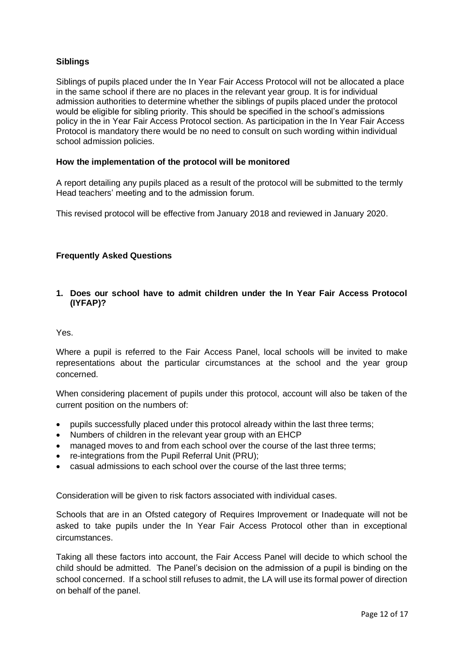# **Siblings**

Siblings of pupils placed under the In Year Fair Access Protocol will not be allocated a place in the same school if there are no places in the relevant year group. It is for individual admission authorities to determine whether the siblings of pupils placed under the protocol would be eligible for sibling priority. This should be specified in the school's admissions policy in the in Year Fair Access Protocol section. As participation in the In Year Fair Access Protocol is mandatory there would be no need to consult on such wording within individual school admission policies.

#### **How the implementation of the protocol will be monitored**

A report detailing any pupils placed as a result of the protocol will be submitted to the termly Head teachers' meeting and to the admission forum.

This revised protocol will be effective from January 2018 and reviewed in January 2020.

#### **Frequently Asked Questions**

#### **1. Does our school have to admit children under the In Year Fair Access Protocol (IYFAP)?**

#### Yes.

Where a pupil is referred to the Fair Access Panel, local schools will be invited to make representations about the particular circumstances at the school and the year group concerned.

When considering placement of pupils under this protocol, account will also be taken of the current position on the numbers of:

- pupils successfully placed under this protocol already within the last three terms;
- Numbers of children in the relevant year group with an EHCP
- managed moves to and from each school over the course of the last three terms;
- re-integrations from the Pupil Referral Unit (PRU);
- casual admissions to each school over the course of the last three terms;

Consideration will be given to risk factors associated with individual cases.

Schools that are in an Ofsted category of Requires Improvement or Inadequate will not be asked to take pupils under the In Year Fair Access Protocol other than in exceptional circumstances.

Taking all these factors into account, the Fair Access Panel will decide to which school the child should be admitted. The Panel's decision on the admission of a pupil is binding on the school concerned. If a school still refuses to admit, the LA will use its formal power of direction on behalf of the panel.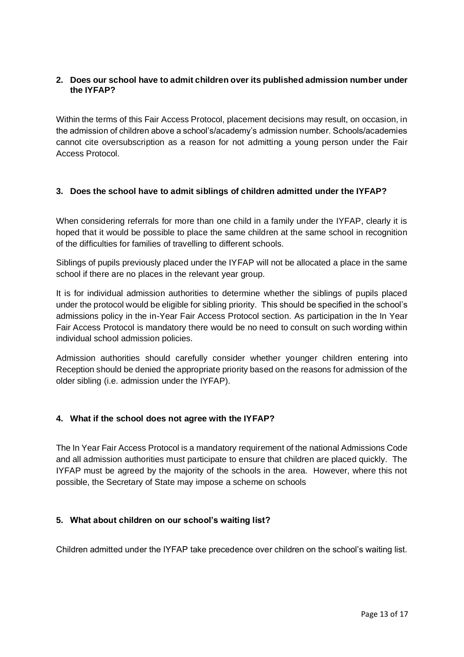# **2. Does our school have to admit children over its published admission number under the IYFAP?**

Within the terms of this Fair Access Protocol, placement decisions may result, on occasion, in the admission of children above a school's/academy's admission number. Schools/academies cannot cite oversubscription as a reason for not admitting a young person under the Fair Access Protocol.

# **3. Does the school have to admit siblings of children admitted under the IYFAP?**

When considering referrals for more than one child in a family under the IYFAP, clearly it is hoped that it would be possible to place the same children at the same school in recognition of the difficulties for families of travelling to different schools.

Siblings of pupils previously placed under the IYFAP will not be allocated a place in the same school if there are no places in the relevant year group.

It is for individual admission authorities to determine whether the siblings of pupils placed under the protocol would be eligible for sibling priority. This should be specified in the school's admissions policy in the in-Year Fair Access Protocol section. As participation in the In Year Fair Access Protocol is mandatory there would be no need to consult on such wording within individual school admission policies.

Admission authorities should carefully consider whether younger children entering into Reception should be denied the appropriate priority based on the reasons for admission of the older sibling (i.e. admission under the IYFAP).

#### **4. What if the school does not agree with the IYFAP?**

The In Year Fair Access Protocol is a mandatory requirement of the national Admissions Code and all admission authorities must participate to ensure that children are placed quickly. The IYFAP must be agreed by the majority of the schools in the area. However, where this not possible, the Secretary of State may impose a scheme on schools

#### **5. What about children on our school's waiting list?**

Children admitted under the IYFAP take precedence over children on the school's waiting list.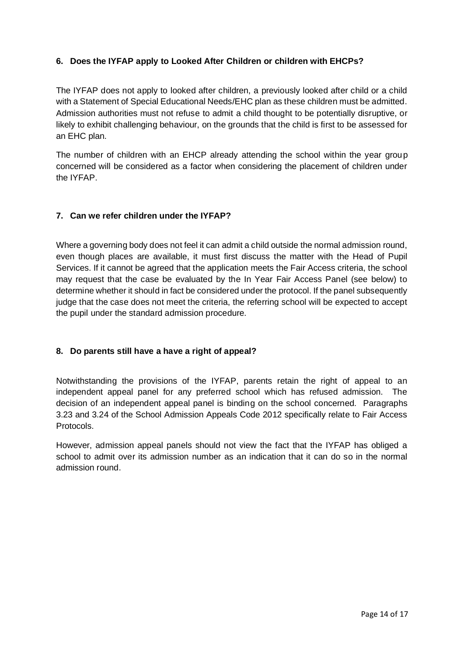# **6. Does the IYFAP apply to Looked After Children or children with EHCPs?**

The IYFAP does not apply to looked after children, a previously looked after child or a child with a Statement of Special Educational Needs/EHC plan as these children must be admitted. Admission authorities must not refuse to admit a child thought to be potentially disruptive, or likely to exhibit challenging behaviour, on the grounds that the child is first to be assessed for an EHC plan.

The number of children with an EHCP already attending the school within the year group concerned will be considered as a factor when considering the placement of children under the IYFAP.

#### **7. Can we refer children under the IYFAP?**

Where a governing body does not feel it can admit a child outside the normal admission round, even though places are available, it must first discuss the matter with the Head of Pupil Services. If it cannot be agreed that the application meets the Fair Access criteria, the school may request that the case be evaluated by the In Year Fair Access Panel (see below) to determine whether it should in fact be considered under the protocol. If the panel subsequently judge that the case does not meet the criteria, the referring school will be expected to accept the pupil under the standard admission procedure.

#### **8. Do parents still have a have a right of appeal?**

Notwithstanding the provisions of the IYFAP, parents retain the right of appeal to an independent appeal panel for any preferred school which has refused admission. The decision of an independent appeal panel is binding on the school concerned. Paragraphs 3.23 and 3.24 of the School Admission Appeals Code 2012 specifically relate to Fair Access Protocols.

However, admission appeal panels should not view the fact that the IYFAP has obliged a school to admit over its admission number as an indication that it can do so in the normal admission round.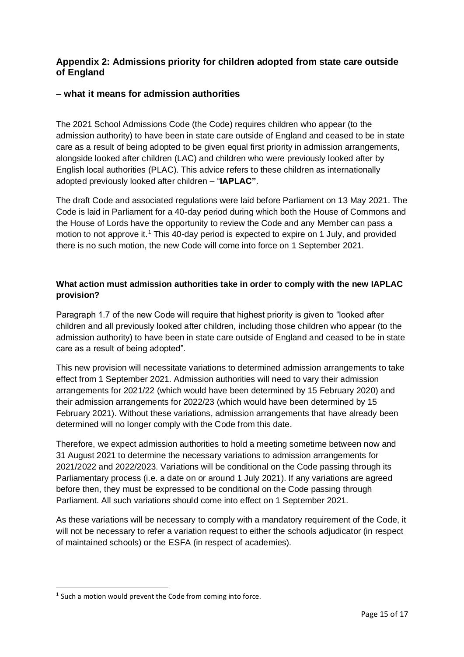# <span id="page-15-0"></span>**Appendix 2: Admissions priority for children adopted from state care outside of England**

# <span id="page-15-1"></span>**– what it means for admission authorities**

The 2021 School Admissions Code (the Code) requires children who appear (to the admission authority) to have been in state care outside of England and ceased to be in state care as a result of being adopted to be given equal first priority in admission arrangements, alongside looked after children (LAC) and children who were previously looked after by English local authorities (PLAC). This advice refers to these children as internationally adopted previously looked after children – "**IAPLAC"**.

The draft Code and associated regulations were laid before Parliament on 13 May 2021. The Code is laid in Parliament for a 40-day period during which both the House of Commons and the House of Lords have the opportunity to review the Code and any Member can pass a motion to not approve it.<sup>1</sup> This 40-day period is expected to expire on 1 July, and provided there is no such motion, the new Code will come into force on 1 September 2021.

# **What action must admission authorities take in order to comply with the new IAPLAC provision?**

Paragraph 1.7 of the new Code will require that highest priority is given to "looked after children and all previously looked after children, including those children who appear (to the admission authority) to have been in state care outside of England and ceased to be in state care as a result of being adopted".

This new provision will necessitate variations to determined admission arrangements to take effect from 1 September 2021. Admission authorities will need to vary their admission arrangements for 2021/22 (which would have been determined by 15 February 2020) and their admission arrangements for 2022/23 (which would have been determined by 15 February 2021). Without these variations, admission arrangements that have already been determined will no longer comply with the Code from this date.

Therefore, we expect admission authorities to hold a meeting sometime between now and 31 August 2021 to determine the necessary variations to admission arrangements for 2021/2022 and 2022/2023. Variations will be conditional on the Code passing through its Parliamentary process (i.e. a date on or around 1 July 2021). If any variations are agreed before then, they must be expressed to be conditional on the Code passing through Parliament. All such variations should come into effect on 1 September 2021.

As these variations will be necessary to comply with a mandatory requirement of the Code, it will not be necessary to refer a variation request to either the schools adjudicator (in respect of maintained schools) or the ESFA (in respect of academies).

 $<sup>1</sup>$  Such a motion would prevent the Code from coming into force.</sup>